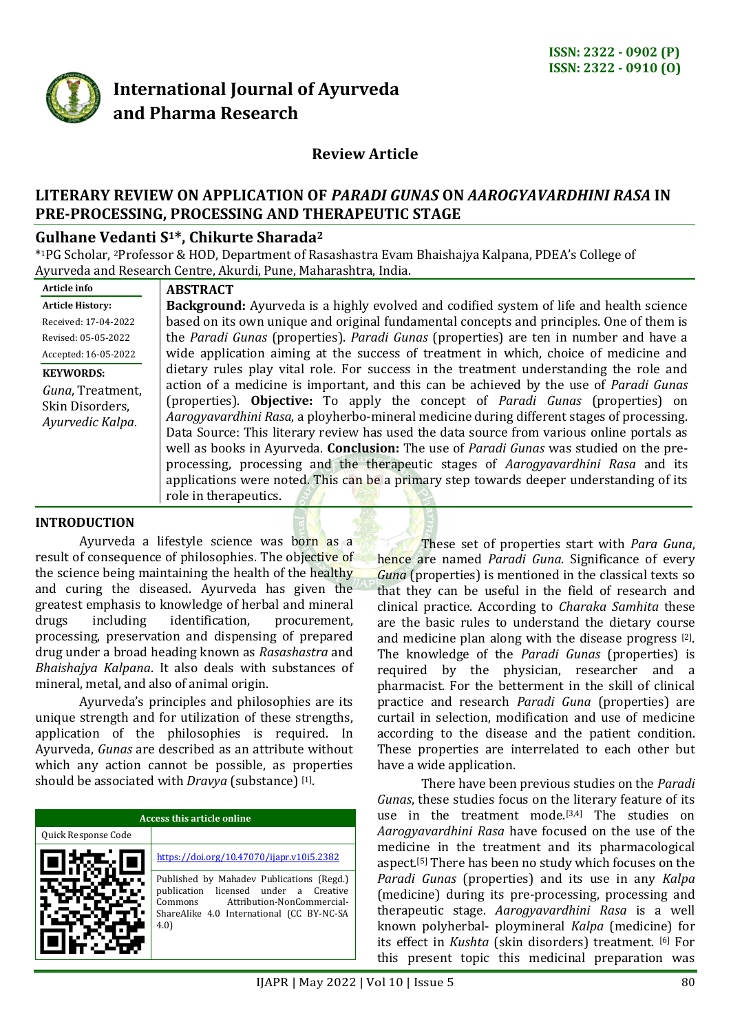

# **International Journal of Ayurveda and Pharma Research**

# **Review Article**

# **LITERARY REVIEW ON APPLICATION OF** *PARADI GUNAS* **ON** *AAROGYAVARDHINI RASA* **IN PRE-PROCESSING, PROCESSING AND THERAPEUTIC STAGE**

# **Gulhane Vedanti S1\*, Chikurte Sharada<sup>2</sup>**

\* <sup>1</sup>PG Scholar, <sup>2</sup>Professor & HOD, Department of Rasashastra Evam Bhaishajya Kalpana, PDEA's College of Ayurveda and Research Centre, Akurdi, Pune, Maharashtra, India.

| Article info                                            |
|---------------------------------------------------------|
| <b>Article History:</b>                                 |
| Received: 17-04-2022                                    |
| Revised: 05-05-2022                                     |
| Accepted: 16-05-2022                                    |
| <b>KEYWORDS:</b>                                        |
| Guna, Treatment,<br>Skin Disorders,<br>Ayurvedic Kalpa. |

**Article info**

#### **ABSTRACT**

**Background:** Ayurveda is a highly evolved and codified system of life and health science based on its own unique and original fundamental concepts and principles. One of them is the *Paradi Gunas* (properties). *Paradi Gunas* (properties) are ten in number and have a wide application aiming at the success of treatment in which, choice of medicine and dietary rules play vital role. For success in the treatment understanding the role and action of a medicine is important, and this can be achieved by the use of *Paradi Gunas* (properties). **Objective:** To apply the concept of *Paradi Gunas* (properties) on *Aarogyavardhini Rasa*, a ployherbo-mineral medicine during different stages of processing. Data Source: This literary review has used the data source from various online portals as well as books in Ayurveda. **Conclusion:** The use of *Paradi Gunas* was studied on the preprocessing, processing and the therapeutic stages of *Aarogyavardhini Rasa* and its applications were noted. This can be a primary step towards deeper understanding of its role in therapeutics.

## **INTRODUCTION**

Ayurveda a lifestyle science was born as a result of consequence of philosophies. The objective of the science being maintaining the health of the healthy and curing the diseased. Ayurveda has given the greatest emphasis to knowledge of herbal and mineral drugs including identification, procurement, processing, preservation and dispensing of prepared drug under a broad heading known as *Rasashastra* and *Bhaishajya Kalpana*. It also deals with substances of mineral, metal, and also of animal origin.

Ayurveda's principles and philosophies are its unique strength and for utilization of these strengths, application of the philosophies is required. In Ayurveda, *Gunas* are described as an attribute without which any action cannot be possible, as properties should be associated with *Dravya* (substance) [1].

|                     | Access this article online                                                                                                                                                         |  |  |
|---------------------|------------------------------------------------------------------------------------------------------------------------------------------------------------------------------------|--|--|
| Quick Response Code |                                                                                                                                                                                    |  |  |
|                     | https://doi.org/10.47070/ijapr.v10i5.2382                                                                                                                                          |  |  |
|                     | Published by Mahadev Publications (Regd.)<br>licensed under a Creative<br>publication<br>Attribution-NonCommercial-<br>Commons<br>ShareAlike 4.0 International (CC BY-NC-SA<br>4.0 |  |  |

These set of properties start with *Para Guna*, hence are named *Paradi Guna*. Significance of every *Guna* (properties) is mentioned in the classical texts so that they can be useful in the field of research and clinical practice. According to *Charaka Samhita* these are the basic rules to understand the dietary course and medicine plan along with the disease progress [2]. The knowledge of the *Paradi Gunas* (properties) is required by the physician, researcher and a pharmacist. For the betterment in the skill of clinical practice and research *Paradi Guna* (properties) are curtail in selection, modification and use of medicine according to the disease and the patient condition. These properties are interrelated to each other but have a wide application.

There have been previous studies on the *Paradi Gunas*, these studies focus on the literary feature of its use in the treatment mode.[3,4] The studies on *Aarogyavardhini Rasa* have focused on the use of the medicine in the treatment and its pharmacological aspect.<sup>[5]</sup> There has been no study which focuses on the *Paradi Gunas* (properties) and its use in any *Kalpa* (medicine) during its pre-processing, processing and therapeutic stage. *Aarogyavardhini Rasa* is a well known polyherbal- ploymineral *Kalpa* (medicine) for its effect in *Kushta* (skin disorders) treatment. [6] For this present topic this medicinal preparation was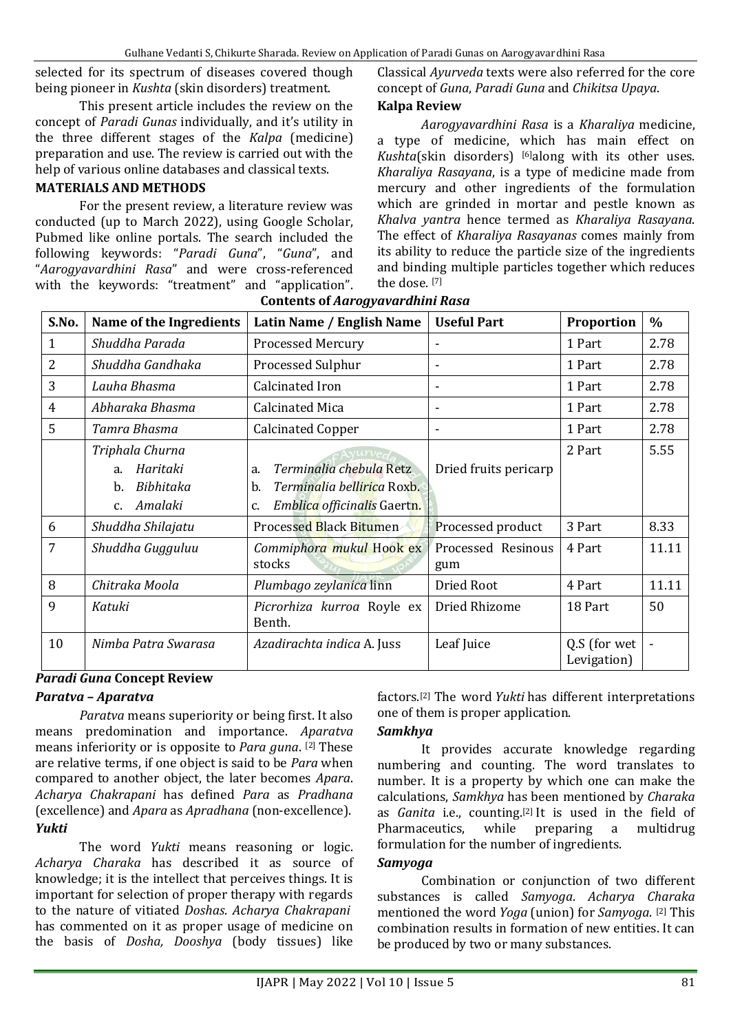selected for its spectrum of diseases covered though being pioneer in *Kushta* (skin disorders) treatment.

This present article includes the review on the concept of *Paradi Gunas* individually, and it's utility in the three different stages of the *Kalpa* (medicine) preparation and use. The review is carried out with the help of various online databases and classical texts.

# **MATERIALS AND METHODS**

For the present review, a literature review was conducted (up to March 2022), using Google Scholar, Pubmed like online portals. The search included the following keywords: "*Paradi Guna*", "*Guna*", and "*Aarogyavardhini Rasa*" and were cross-referenced with the keywords: "treatment" and "application".

Classical *Ayurveda* texts were also referred for the core concept of *Guna*, *Paradi Guna* and *Chikitsa Upaya*.

# **Kalpa Review**

*Aarogyavardhini Rasa* is a *Kharaliya* medicine, a type of medicine, which has main effect on *Kushta*(skin disorders) [6]along with its other uses. *Kharaliya Rasayana*, is a type of medicine made from mercury and other ingredients of the formulation which are grinded in mortar and pestle known as *Khalva yantra* hence termed as *Kharaliya Rasayana*. The effect of *Kharaliya Rasayanas* comes mainly from its ability to reduce the particle size of the ingredients and binding multiple particles together which reduces the dose. [7]

| S.No. | Name of the Ingredients                                                                      | Latin Name / English Name                                                                              | <b>Useful Part</b>        | Proportion                  | $\%$  |
|-------|----------------------------------------------------------------------------------------------|--------------------------------------------------------------------------------------------------------|---------------------------|-----------------------------|-------|
| 1     | Shuddha Parada                                                                               | <b>Processed Mercury</b>                                                                               |                           | 1 Part                      | 2.78  |
| 2     | Shuddha Gandhaka                                                                             | <b>Processed Sulphur</b>                                                                               |                           | 1 Part                      | 2.78  |
| 3     | Lauha Bhasma                                                                                 | Calcinated Iron                                                                                        |                           | 1 Part                      | 2.78  |
| 4     | Abharaka Bhasma                                                                              | <b>Calcinated Mica</b>                                                                                 |                           | 1 Part                      | 2.78  |
| 5     | Tamra Bhasma                                                                                 | <b>Calcinated Copper</b>                                                                               |                           | 1 Part                      | 2.78  |
|       | Triphala Churna<br>Haritaki<br>a <sub>z</sub><br>Bibhitaka<br>b.<br>Amalaki<br>$C_{\bullet}$ | Terminalia chebula Retz<br>a.<br>Terminalia bellirica Roxb.<br>b.<br>Emblica officinalis Gaertn.<br>c. | Dried fruits pericarp     | 2 Part                      | 5.55  |
| 6     | Shuddha Shilajatu                                                                            | Processed Black Bitumen                                                                                | Processed product         | 3 Part                      | 8.33  |
| 7     | Shuddha Gugguluu                                                                             | Commiphora mukul Hook ex<br>stocks                                                                     | Processed Resinous<br>gum | 4 Part                      | 11.11 |
| 8     | Chitraka Moola                                                                               | Plumbago zeylanica linn                                                                                | Dried Root                | 4 Part                      | 11.11 |
| 9     | Katuki                                                                                       | Picrorhiza kurroa Royle ex<br>Benth.                                                                   | Dried Rhizome             | 18 Part                     | 50    |
| 10    | Nimba Patra Swarasa                                                                          | Azadirachta indica A. Juss                                                                             | Leaf Juice                | Q.S (for wet<br>Levigation) |       |

## **Contents of** *Aarogyavardhini Rasa*

# *Paradi Guna* **Concept Review**

## *Paratva* **–** *Aparatva*

*Paratva* means superiority or being first. It also means predomination and importance. *Aparatva* means inferiority or is opposite to *Para guna*. [2] These are relative terms, if one object is said to be *Para* when compared to another object, the later becomes *Apara*. *Acharya Chakrapani* has defined *Para* as *Pradhana* (excellence) and *Apara* as *Apradhana* (non-excellence). *Yukti*

The word *Yukti* means reasoning or logic. *Acharya Charaka* has described it as source of knowledge; it is the intellect that perceives things. It is important for selection of proper therapy with regards to the nature of vitiated *Doshas*. *Acharya Chakrapani* has commented on it as proper usage of medicine on the basis of *Dosha, Dooshya* (body tissues) like factors.[2] The word *Yukti* has different interpretations one of them is proper application.

# *Samkhya*

It provides accurate knowledge regarding numbering and counting. The word translates to number. It is a property by which one can make the calculations, *Samkhya* has been mentioned by *Charaka*  as *Ganita* i.e., counting. [2] It is used in the field of Pharmaceutics, while preparing a multidrug formulation for the number of ingredients.

## *Samyoga*

Combination or conjunction of two different substances is called *Samyoga*. *Acharya Charaka* mentioned the word *Yoga* (union) for *Samyoga*. [2] This combination results in formation of new entities. It can be produced by two or many substances.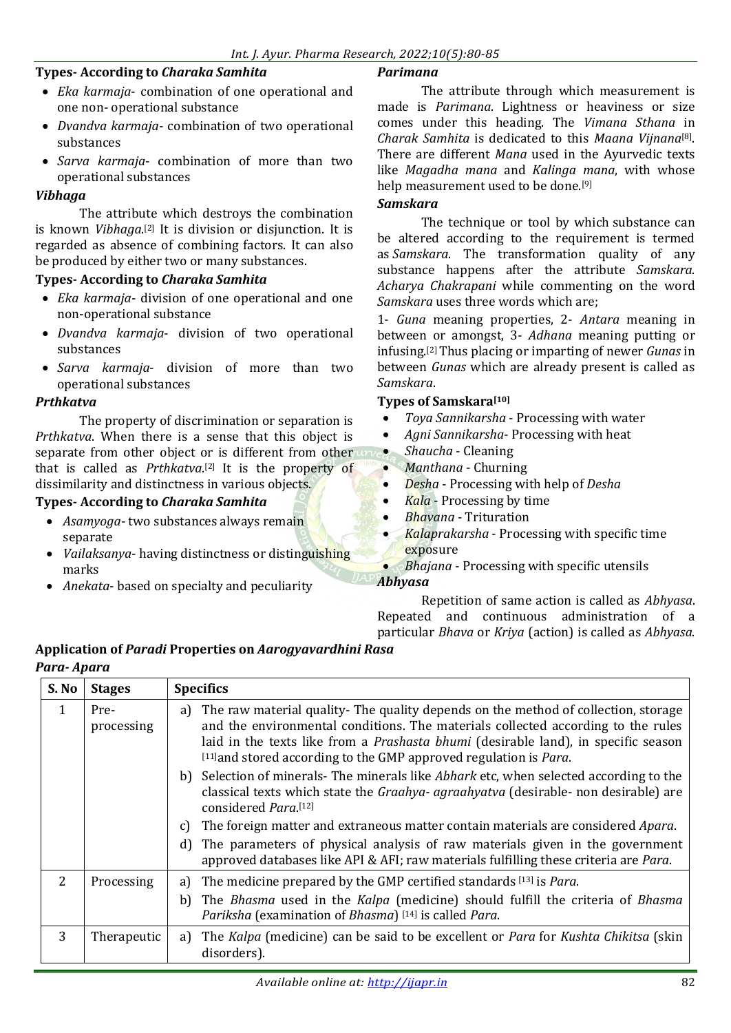## **Types- According to** *Charaka Samhita*

- *Eka karmaja* combination of one operational and one non- operational substance
- *Dvandva karmaja* combination of two operational substances
- *Sarva karmaja* combination of more than two operational substances

## *Vibhaga*

The attribute which destroys the combination is known *Vibhaga*. [2] It is division or disjunction. It is regarded as absence of combining factors. It can also be produced by either two or many substances.

#### **Types- According to** *Charaka Samhita*

- *Eka karmaja* division of one operational and one non-operational substance
- *Dvandva karmaja* division of two operational substances
- *Sarva karmaja* division of more than two operational substances

#### *Prthkatva*

The property of discrimination or separation is *Prthkatva*. When there is a sense that this object is separate from other object or is different from other that is called as *Prthkatva*. [2] It is the property of dissimilarity and distinctness in various objects.

## **Types- According to** *Charaka Samhita*

- *Asamyoga* two substances always remain separate
- *Vailaksanya* having distinctness or distinguishing marks
- *Anekata* based on specialty and peculiarity

## *Parimana*

The attribute through which measurement is made is *Parimana*. Lightness or heaviness or size comes under this heading. The *Vimana Sthana* in *Charak Samhita* is dedicated to this *Maana Vijnana*[8] . There are different *Mana* used in the Ayurvedic texts like *Magadha mana* and *Kalinga mana*, with whose help measurement used to be done.[9]

#### *Samskara*

The technique or tool by which substance can be altered according to the requirement is termed as *Samskara*. The transformation quality of any substance happens after the attribute *Samskara*. *Acharya Chakrapani* while commenting on the word *Samskara* uses three words which are;

1- *Guna* meaning properties, 2- *Antara* meaning in between or amongst, 3- *Adhana* meaning putting or infusing.[2]Thus placing or imparting of newer *Gunas* in between *Gunas* which are already present is called as *Samskara*.

#### **Types of Samskara[10]**

- *Toya Sannikarsha* Processing with water
- *Agni Sannikarsha* Processing with heat
- *Shaucha* Cleaning
- *Manthana* Churning
- *Desha* Processing with help of *Desha*
- *Kala* Processing by time
- *Bhavana* Trituration
- *Kalaprakarsha* Processing with specific time exposure
- *Bhajana* Processing with specific utensils

## *Abhyasa*

Repetition of same action is called as *Abhyasa*. Repeated and continuous administration of a particular *Bhava* or *Kriya* (action) is called as *Abhyasa*.

# **Application of** *Paradi* **Properties on** *Aarogyavardhini Rasa*

## *Para- Apara*

| S. No          | <b>Stages</b>      | <b>Specifics</b>                                                                                                                                                                                                                                                                                                                                                                                                                         |
|----------------|--------------------|------------------------------------------------------------------------------------------------------------------------------------------------------------------------------------------------------------------------------------------------------------------------------------------------------------------------------------------------------------------------------------------------------------------------------------------|
| $\mathbf{1}$   | Pre-<br>processing | The raw material quality- The quality depends on the method of collection, storage<br>a)<br>and the environmental conditions. The materials collected according to the rules<br>laid in the texts like from a <i>Prashasta bhumi</i> (desirable land), in specific season<br>[11] and stored according to the GMP approved regulation is Para.<br>b) Selection of minerals- The minerals like Abhark etc, when selected according to the |
|                |                    | classical texts which state the <i>Graahya- agraahyatva</i> (desirable- non desirable) are<br>considered Para.[12]                                                                                                                                                                                                                                                                                                                       |
|                |                    | The foreign matter and extraneous matter contain materials are considered <i>Apara</i> .<br>C)                                                                                                                                                                                                                                                                                                                                           |
|                |                    | The parameters of physical analysis of raw materials given in the government<br>d)<br>approved databases like API & AFI; raw materials fulfilling these criteria are Para.                                                                                                                                                                                                                                                               |
| $\overline{2}$ | Processing         | The medicine prepared by the GMP certified standards [13] is <i>Para</i> .<br>a)                                                                                                                                                                                                                                                                                                                                                         |
|                |                    | The Bhasma used in the Kalpa (medicine) should fulfill the criteria of Bhasma<br>b)<br>Pariksha (examination of Bhasma) [14] is called Para.                                                                                                                                                                                                                                                                                             |
| 3              | Therapeutic        | The Kalpa (medicine) can be said to be excellent or Para for Kushta Chikitsa (skin<br>a)<br>disorders).                                                                                                                                                                                                                                                                                                                                  |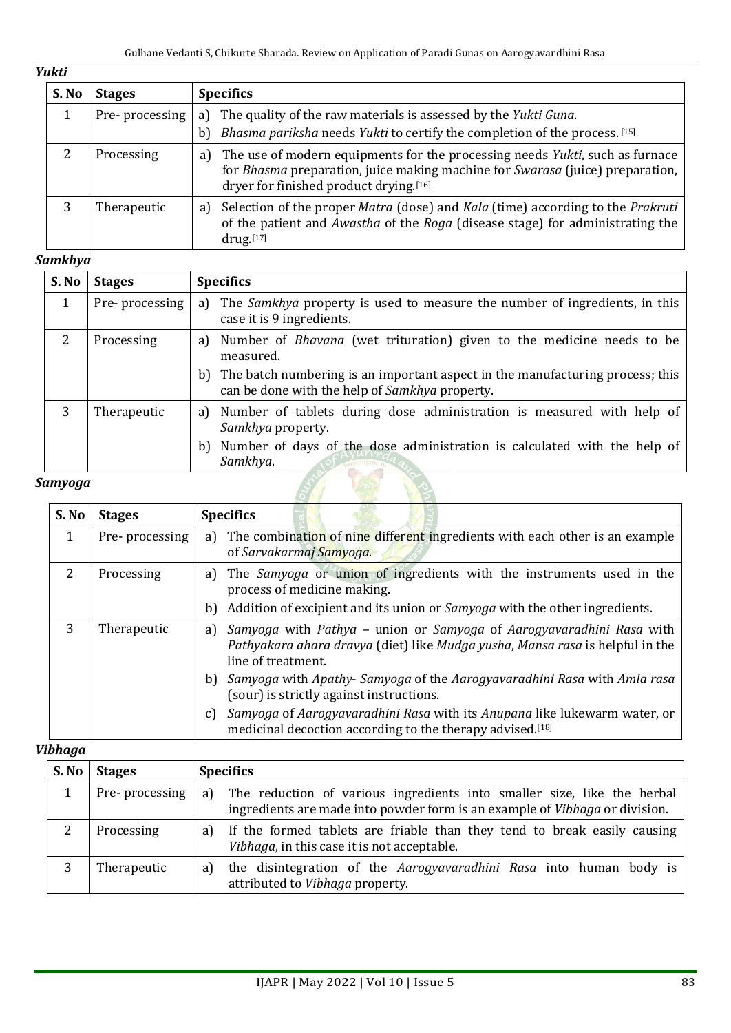# *Yukti*

| S. No | <b>Stages</b>  | <b>Specifics</b>                                                                                                                                                                                                            |  |
|-------|----------------|-----------------------------------------------------------------------------------------------------------------------------------------------------------------------------------------------------------------------------|--|
|       | Pre-processing | The quality of the raw materials is assessed by the Yukti Guna.<br>a)<br>Bhasma pariksha needs Yukti to certify the completion of the process. [15]<br>b)                                                                   |  |
|       | Processing     | The use of modern equipments for the processing needs Yukti, such as furnace<br>a)<br>for <i>Bhasma</i> preparation, juice making machine for <i>Swarasa</i> (juice) preparation,<br>dryer for finished product drying.[16] |  |
|       | Therapeutic    | Selection of the proper Matra (dose) and Kala (time) according to the Prakruti<br>a)<br>of the patient and Awastha of the Roga (disease stage) for administrating the<br>$drug.$ [17]                                       |  |

# *Samkhya*

| S. No   | <b>Stages</b>  | <b>Specifics</b>                                                                                                                      |  |
|---------|----------------|---------------------------------------------------------------------------------------------------------------------------------------|--|
|         | Pre-processing | The <i>Samkhya</i> property is used to measure the number of ingredients, in this<br>a)<br>case it is 9 ingredients.                  |  |
| 2       | Processing     | Number of <i>Bhavana</i> (wet trituration) given to the medicine needs to be<br>a)<br>measured.                                       |  |
|         |                | The batch numbering is an important aspect in the manufacturing process; this<br>b)<br>can be done with the help of Samkhya property. |  |
| 3       | Therapeutic    | Number of tablets during dose administration is measured with help of<br>a)<br>Samkhya property.                                      |  |
|         |                | Number of days of the dose administration is calculated with the help of<br>b)<br>Samkhya.                                            |  |
| Samyoga |                |                                                                                                                                       |  |

## *Samyoga*

| S. No         | <b>Stages</b>  | <b>Specifics</b>                                                                                                                                                                  |
|---------------|----------------|-----------------------------------------------------------------------------------------------------------------------------------------------------------------------------------|
| $\mathbf{1}$  | Pre-processing | a) The combination of nine different ingredients with each other is an example<br>of Sarvakarmaj Samyoga.                                                                         |
| $\mathcal{L}$ | Processing     | a) The Samyoga or union of ingredients with the instruments used in the<br>process of medicine making.                                                                            |
|               |                | b) Addition of excipient and its union or Samyoga with the other ingredients.                                                                                                     |
| 3             | Therapeutic    | Samyoga with Pathya – union or Samyoga of Aarogyavaradhini Rasa with<br>a)<br>Pathyakara ahara dravya (diet) like Mudga yusha, Mansa rasa is helpful in the<br>line of treatment. |
|               |                | b) Samyoga with Apathy-Samyoga of the Aarogyavaradhini Rasa with Amla rasa<br>(sour) is strictly against instructions.                                                            |
|               |                | Samyoga of Aarogyavaradhini Rasa with its Anupana like lukewarm water, or<br>C)<br>medicinal decoction according to the therapy advised.[18]                                      |

# *Vibhaga*

| S. No | <b>Stages</b>   | <b>Specifics</b>                                                                                                                                                 |  |
|-------|-----------------|------------------------------------------------------------------------------------------------------------------------------------------------------------------|--|
|       | Pre- processing | a) The reduction of various ingredients into smaller size, like the herbal<br>ingredients are made into powder form is an example of <i>Vibhaga</i> or division. |  |
|       | Processing      | If the formed tablets are friable than they tend to break easily causing<br>a)<br>Vibhaga, in this case it is not acceptable.                                    |  |
|       | Therapeutic     | the disintegration of the Aarogyavaradhini Rasa into human body is<br>a)<br>attributed to Vibhaga property.                                                      |  |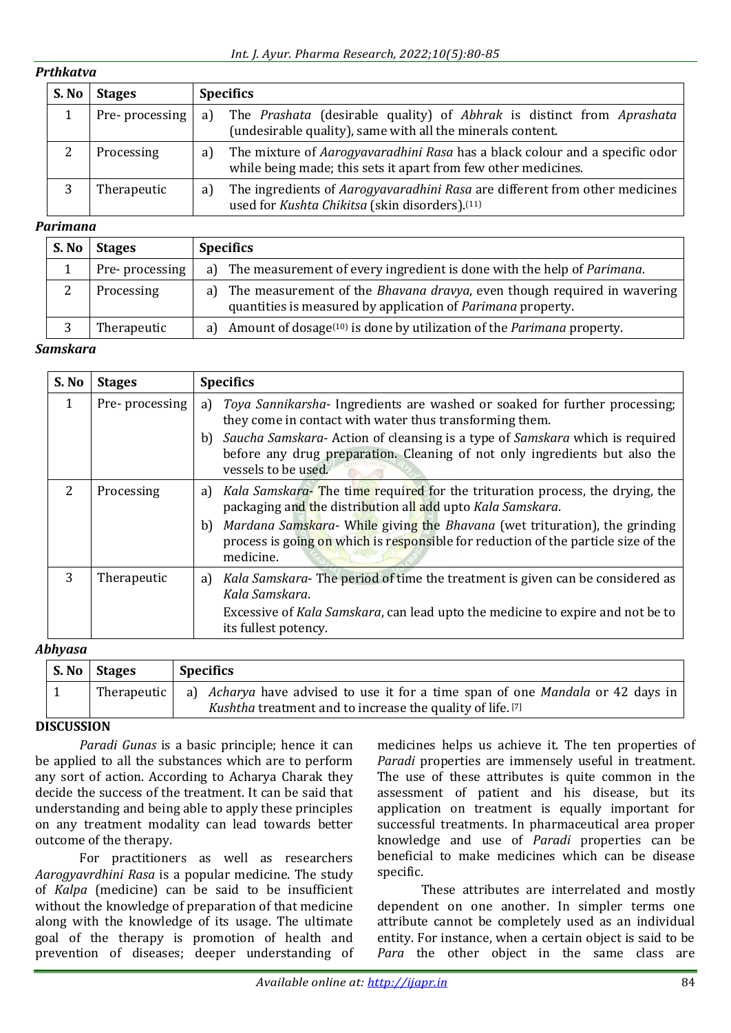# *Prthkatva*

| S. No | <b>Stages</b>  |     | <b>Specifics</b>                                                                                                                                     |  |
|-------|----------------|-----|------------------------------------------------------------------------------------------------------------------------------------------------------|--|
|       | Pre-processing | a)  | The Prashata (desirable quality) of Abhrak is distinct from Aprashata<br>(undesirable quality), same with all the minerals content.                  |  |
|       | Processing     | a l | The mixture of <i>Aarogyavaradhini Rasa</i> has a black colour and a specific odor<br>while being made; this sets it apart from few other medicines. |  |
|       | Therapeutic    | a)  | The ingredients of <i>Aarogyavaradhini Rasa</i> are different from other medicines<br>used for Kushta Chikitsa (skin disorders). <sup>(11)</sup>     |  |

## *Parimana*

| S. No | <b>Stages</b>  | <b>Specifics</b>                                                                                                                                  |
|-------|----------------|---------------------------------------------------------------------------------------------------------------------------------------------------|
|       | Pre-processing | a) The measurement of every ingredient is done with the help of Parimana.                                                                         |
|       | Processing     | a) The measurement of the <i>Bhavana dravya</i> , even though required in wavering<br>quantities is measured by application of Parimana property. |
|       | Therapeutic    | a) Amount of dosage $(10)$ is done by utilization of the <i>Parimana</i> property.                                                                |

## *Samskara*

| S. No         | <b>Stages</b>  | <b>Specifics</b>                                                                                                                                                                                  |
|---------------|----------------|---------------------------------------------------------------------------------------------------------------------------------------------------------------------------------------------------|
|               | Pre-processing | Toya Sannikarsha- Ingredients are washed or soaked for further processing;<br>a)<br>they come in contact with water thus transforming them.                                                       |
|               |                | Saucha Samskara-Action of cleansing is a type of Samskara which is required<br>b)<br>before any drug preparation. Cleaning of not only ingredients but also the<br>vessels to be used.            |
| $\mathcal{P}$ | Processing     | Kala Samskara-The time required for the trituration process, the drying, the<br>a)<br>packaging and the distribution all add upto Kala Samskara.                                                  |
|               |                | <i>Mardana Samskara-</i> While giving the <i>Bhavana</i> (wet trituration), the grinding<br>b)<br>process is going on which is responsible for reduction of the particle size of the<br>medicine. |
| 3             | Therapeutic    | Kala Samskara-The period of time the treatment is given can be considered as<br>a)<br>Kala Samskara.                                                                                              |
|               |                | Excessive of Kala Samskara, can lead upto the medicine to expire and not be to<br>its fullest potency.                                                                                            |

## *Abhyasa*

| S. No Stages | <b>Specifics</b>                                                                                                                                           |  |
|--------------|------------------------------------------------------------------------------------------------------------------------------------------------------------|--|
|              | Therapeutic   a) Acharya have advised to use it for a time span of one Mandala or 42 days in<br>Kushtha treatment and to increase the quality of life. [7] |  |

# **DISCUSSION**

*Paradi Gunas* is a basic principle; hence it can be applied to all the substances which are to perform any sort of action. According to Acharya Charak they decide the success of the treatment. It can be said that understanding and being able to apply these principles on any treatment modality can lead towards better outcome of the therapy.

For practitioners as well as researchers *Aarogyavrdhini Rasa* is a popular medicine. The study of *Kalpa* (medicine) can be said to be insufficient without the knowledge of preparation of that medicine along with the knowledge of its usage. The ultimate goal of the therapy is promotion of health and prevention of diseases; deeper understanding of

medicines helps us achieve it. The ten properties of *Paradi* properties are immensely useful in treatment. The use of these attributes is quite common in the assessment of patient and his disease, but its application on treatment is equally important for successful treatments. In pharmaceutical area proper knowledge and use of *Paradi* properties can be beneficial to make medicines which can be disease specific.

These attributes are interrelated and mostly dependent on one another. In simpler terms one attribute cannot be completely used as an individual entity. For instance, when a certain object is said to be *Para* the other object in the same class are